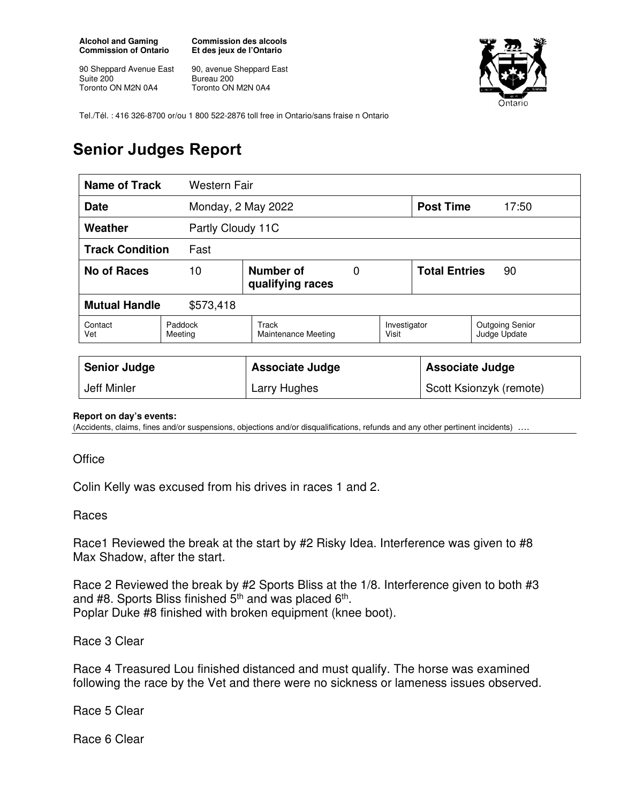**Alcohol and Gaming Commission of Ontario** 

90 Sheppard Avenue East Suite 200 Toronto ON M2N 0A4

**Commission des alcools Et des jeux de l'Ontario** 

90, avenue Sheppard East Bureau 200 Toronto ON M2N 0A4



Tel./Tél. : 416 326-8700 or/ou 1 800 522-2876 toll free in Ontario/sans fraise n Ontario

## **Senior Judges Report**

| <b>Name of Track</b><br>Western Fair |                                          |                              |  |                            |                        |                                        |
|--------------------------------------|------------------------------------------|------------------------------|--|----------------------------|------------------------|----------------------------------------|
| Monday, 2 May 2022<br><b>Date</b>    |                                          |                              |  |                            | <b>Post Time</b>       | 17:50                                  |
| Weather                              | Partly Cloudy 11C                        |                              |  |                            |                        |                                        |
| <b>Track Condition</b><br>Fast       |                                          |                              |  |                            |                        |                                        |
| <b>No of Races</b>                   | Number of<br>0<br>10<br>qualifying races |                              |  | <b>Total Entries</b><br>90 |                        |                                        |
| <b>Mutual Handle</b><br>\$573,418    |                                          |                              |  |                            |                        |                                        |
| Contact<br>Vet                       | Paddock<br>Meeting                       | Track<br>Maintenance Meeting |  | Investigator<br>Visit      |                        | <b>Outgoing Senior</b><br>Judge Update |
|                                      |                                          |                              |  |                            |                        |                                        |
| <b>Senior Judge</b>                  |                                          | <b>Associate Judge</b>       |  |                            | <b>Associate Judge</b> |                                        |
| <b>Jeff Minler</b>                   |                                          | Larry Hughes                 |  | Scott Ksionzyk (remote)    |                        |                                        |

## **Report on day's events:**

(Accidents, claims, fines and/or suspensions, objections and/or disqualifications, refunds and any other pertinent incidents) ….

## **Office**

Colin Kelly was excused from his drives in races 1 and 2.

## Races

Race1 Reviewed the break at the start by #2 Risky Idea. Interference was given to #8 Max Shadow, after the start.

Race 2 Reviewed the break by #2 Sports Bliss at the 1/8. Interference given to both #3 and #8. Sports Bliss finished  $5<sup>th</sup>$  and was placed  $6<sup>th</sup>$ . Poplar Duke #8 finished with broken equipment (knee boot).

Race 3 Clear

Race 4 Treasured Lou finished distanced and must qualify. The horse was examined following the race by the Vet and there were no sickness or lameness issues observed.

Race 5 Clear

Race 6 Clear